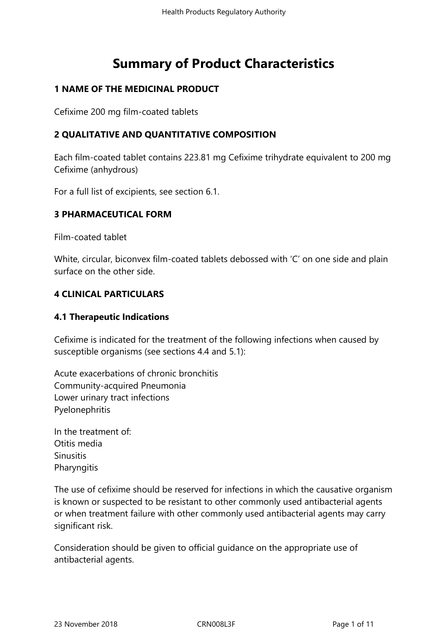# **Summary of Product Characteristics**

# **1 NAME OF THE MEDICINAL PRODUCT**

Cefixime 200 mg film-coated tablets

# **2 QUALITATIVE AND QUANTITATIVE COMPOSITION**

Each film-coated tablet contains 223.81 mg Cefixime trihydrate equivalent to 200 mg Cefixime (anhydrous)

For a full list of excipients, see section 6.1.

#### **3 PHARMACEUTICAL FORM**

Film-coated tablet

White, circular, biconvex film-coated tablets debossed with 'C' on one side and plain surface on the other side.

#### **4 CLINICAL PARTICULARS**

#### **4.1 Therapeutic Indications**

Cefixime is indicated for the treatment of the following infections when caused by susceptible organisms (see sections 4.4 and 5.1):

Acute exacerbations of chronic bronchitis Community-acquired Pneumonia Lower urinary tract infections Pyelonephritis

In the treatment of: Otitis media **Sinusitis Pharyngitis** 

The use of cefixime should be reserved for infections in which the causative organism is known or suspected to be resistant to other commonly used antibacterial agents or when treatment failure with other commonly used antibacterial agents may carry significant risk.

Consideration should be given to official guidance on the appropriate use of antibacterial agents.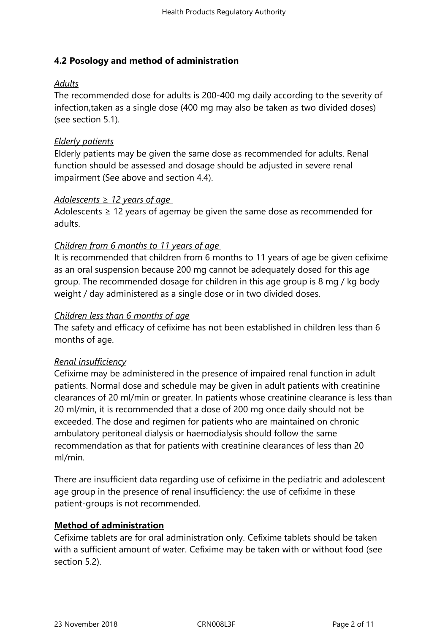# **4.2 Posology and method of administration**

# *Adults*

The recommended dose for adults is 200-400 mg daily according to the severity of infection,taken as a single dose (400 mg may also be taken as two divided doses) (see section 5.1).

# *Elderly patients*

Elderly patients may be given the same dose as recommended for adults. Renal function should be assessed and dosage should be adjusted in severe renal impairment (See above and section 4.4).

#### *Adolescents ≥ 12 years of age*

Adolescents  $\geq$  12 years of agemay be given the same dose as recommended for adults.

# *Children from 6 months to 11 years of age*

It is recommended that children from 6 months to 11 years of age be given cefixime as an oral suspension because 200 mg cannot be adequately dosed for this age group. The recommended dosage for children in this age group is 8 mg / kg body weight / day administered as a single dose or in two divided doses.

#### *Children less than 6 months of age*

The safety and efficacy of cefixime has not been established in children less than 6 months of age.

#### *Renal insufficiency*

Cefixime may be administered in the presence of impaired renal function in adult patients. Normal dose and schedule may be given in adult patients with creatinine clearances of 20 ml/min or greater. In patients whose creatinine clearance is less than 20 ml/min, it is recommended that a dose of 200 mg once daily should not be exceeded. The dose and regimen for patients who are maintained on chronic ambulatory peritoneal dialysis or haemodialysis should follow the same recommendation as that for patients with creatinine clearances of less than 20 ml/min.

There are insufficient data regarding use of cefixime in the pediatric and adolescent age group in the presence of renal insufficiency: the use of cefixime in these patient-groups is not recommended.

# **Method of administration**

Cefixime tablets are for oral administration only. Cefixime tablets should be taken with a sufficient amount of water. Cefixime may be taken with or without food (see section 5.2).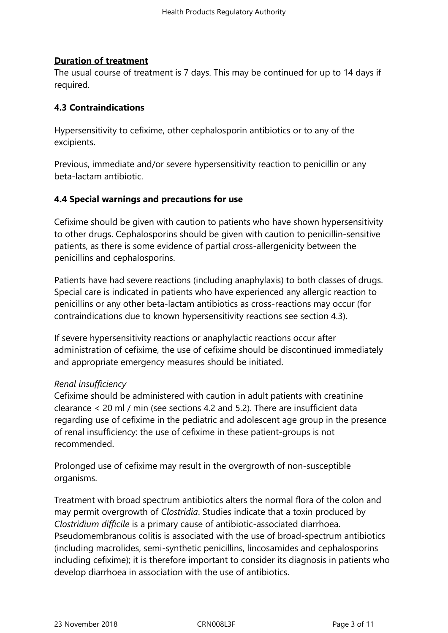#### **Duration of treatment**

The usual course of treatment is 7 days. This may be continued for up to 14 days if required.

#### **4.3 Contraindications**

Hypersensitivity to cefixime, other cephalosporin antibiotics or to any of the excipients.

Previous, immediate and/or severe hypersensitivity reaction to penicillin or any beta-lactam antibiotic.

# **4.4 Special warnings and precautions for use**

Cefixime should be given with caution to patients who have shown hypersensitivity to other drugs. Cephalosporins should be given with caution to penicillin-sensitive patients, as there is some evidence of partial cross-allergenicity between the penicillins and cephalosporins.

Patients have had severe reactions (including anaphylaxis) to both classes of drugs. Special care is indicated in patients who have experienced any allergic reaction to penicillins or any other beta-lactam antibiotics as cross-reactions may occur (for contraindications due to known hypersensitivity reactions see section 4.3).

If severe hypersensitivity reactions or anaphylactic reactions occur after administration of cefixime, the use of cefixime should be discontinued immediately and appropriate emergency measures should be initiated.

#### *Renal insufficiency*

Cefixime should be administered with caution in adult patients with creatinine clearance < 20 ml / min (see sections 4.2 and 5.2). There are insufficient data regarding use of cefixime in the pediatric and adolescent age group in the presence of renal insufficiency: the use of cefixime in these patient-groups is not recommended.

Prolonged use of cefixime may result in the overgrowth of non-susceptible organisms.

Treatment with broad spectrum antibiotics alters the normal flora of the colon and may permit overgrowth of *Clostridia*. Studies indicate that a toxin produced by *Clostridium difficile* is a primary cause of antibiotic-associated diarrhoea. Pseudomembranous colitis is associated with the use of broad-spectrum antibiotics (including macrolides, semi-synthetic penicillins, lincosamides and cephalosporins including cefixime); it is therefore important to consider its diagnosis in patients who develop diarrhoea in association with the use of antibiotics.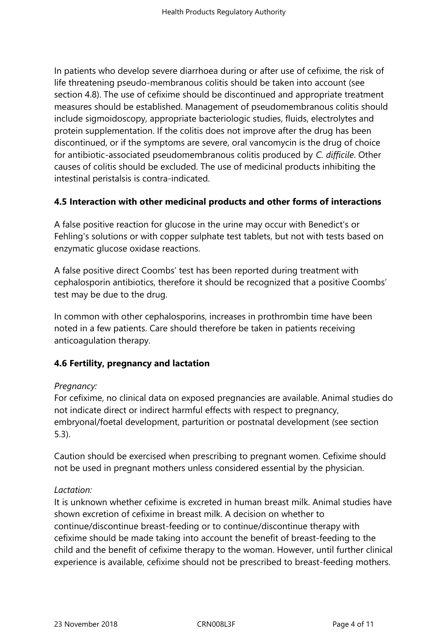In patients who develop severe diarrhoea during or after use of cefixime, the risk of life threatening pseudo-membranous colitis should be taken into account (see section 4.8). The use of cefixime should be discontinued and appropriate treatment measures should be established. Management of pseudomembranous colitis should include sigmoidoscopy, appropriate bacteriologic studies, fluids, electrolytes and protein supplementation. If the colitis does not improve after the drug has been discontinued, or if the symptoms are severe, oral vancomycin is the drug of choice for antibiotic-associated pseudomembranous colitis produced by *C. difficile*. Other causes of colitis should be excluded. The use of medicinal products inhibiting the intestinal peristalsis is contra-indicated.

# **4.5 Interaction with other medicinal products and other forms of interactions**

A false positive reaction for glucose in the urine may occur with Benedict's or Fehling's solutions or with copper sulphate test tablets, but not with tests based on enzymatic glucose oxidase reactions.

A false positive direct Coombs' test has been reported during treatment with cephalosporin antibiotics, therefore it should be recognized that a positive Coombs' test may be due to the drug.

In common with other cephalosporins, increases in prothrombin time have been noted in a few patients. Care should therefore be taken in patients receiving anticoagulation therapy.

# **4.6 Fertility, pregnancy and lactation**

# *Pregnancy:*

For cefixime, no clinical data on exposed pregnancies are available. Animal studies do not indicate direct or indirect harmful effects with respect to pregnancy, embryonal/foetal development, parturition or postnatal development (see section 5.3).

Caution should be exercised when prescribing to pregnant women. Cefixime should not be used in pregnant mothers unless considered essential by the physician.

# *Lactation:*

It is unknown whether cefixime is excreted in human breast milk. Animal studies have shown excretion of cefixime in breast milk. A decision on whether to continue/discontinue breast-feeding or to continue/discontinue therapy with cefixime should be made taking into account the benefit of breast-feeding to the child and the benefit of cefixime therapy to the woman. However, until further clinical experience is available, cefixime should not be prescribed to breast-feeding mothers.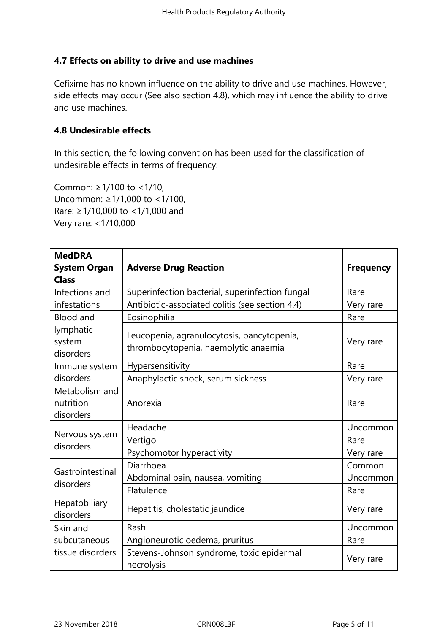# **4.7 Effects on ability to drive and use machines**

Cefixime has no known influence on the ability to drive and use machines. However, side effects may occur (See also section 4.8), which may influence the ability to drive and use machines.

# **4.8 Undesirable effects**

In this section, the following convention has been used for the classification of undesirable effects in terms of frequency:

Common: ≥1/100 to <1/10, Uncommon: ≥1/1,000 to <1/100, Rare: ≥1/10,000 to <1/1,000 and Very rare: <1/10,000

| <b>MedDRA</b><br><b>System Organ</b><br><b>Class</b> | <b>Adverse Drug Reaction</b>                                                       | <b>Frequency</b> |
|------------------------------------------------------|------------------------------------------------------------------------------------|------------------|
| Infections and<br>infestations                       | Superinfection bacterial, superinfection fungal                                    | Rare             |
|                                                      | Antibiotic-associated colitis (see section 4.4)                                    | Very rare        |
| <b>Blood and</b><br>lymphatic<br>system<br>disorders | Eosinophilia                                                                       | Rare             |
|                                                      | Leucopenia, agranulocytosis, pancytopenia,<br>thrombocytopenia, haemolytic anaemia | Very rare        |
| Immune system                                        | Hypersensitivity                                                                   | Rare             |
| disorders                                            | Anaphylactic shock, serum sickness                                                 | Very rare        |
| Metabolism and<br>nutrition<br>disorders             | Anorexia                                                                           | Rare             |
| Nervous system<br>disorders                          | Headache                                                                           | Uncommon         |
|                                                      | Vertigo                                                                            | Rare             |
|                                                      | Psychomotor hyperactivity                                                          | Very rare        |
| Gastrointestinal<br>disorders                        | Diarrhoea                                                                          | Common           |
|                                                      | Abdominal pain, nausea, vomiting                                                   | Uncommon         |
|                                                      | Flatulence                                                                         | Rare             |
| Hepatobiliary<br>disorders                           | Hepatitis, cholestatic jaundice                                                    | Very rare        |
| Skin and                                             | Rash                                                                               | Uncommon         |
| subcutaneous                                         | Angioneurotic oedema, pruritus                                                     | Rare             |
| tissue disorders                                     | Stevens-Johnson syndrome, toxic epidermal<br>necrolysis                            | Very rare        |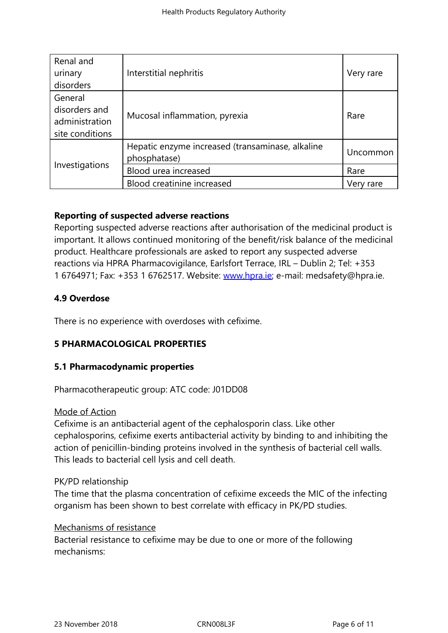| Renal and       |                                                                  |           |
|-----------------|------------------------------------------------------------------|-----------|
| urinary         | Interstitial nephritis                                           | Very rare |
| disorders       |                                                                  |           |
| General         | Mucosal inflammation, pyrexia                                    | Rare      |
| disorders and   |                                                                  |           |
| administration  |                                                                  |           |
| site conditions |                                                                  |           |
| Investigations  | Hepatic enzyme increased (transaminase, alkaline<br>phosphatase) | Uncommon  |
|                 | Blood urea increased                                             | Rare      |
|                 | Blood creatinine increased                                       | Very rare |

# **Reporting of suspected adverse reactions**

Reporting suspected adverse reactions after authorisation of the medicinal product is important. It allows continued monitoring of the benefit/risk balance of the medicinal product. Healthcare professionals are asked to report any suspected adverse reactions via HPRA Pharmacovigilance, Earlsfort Terrace, IRL – Dublin 2; Tel: +353 1 6764971; Fax: +353 1 6762517. Website: www.hpra.ie; e-mail: medsafety@hpra.ie.

# **4.9 Overdose**

There is no experience with overdoses wit[h cefixime.](http://www.hpra.ie/)

# **5 PHARMACOLOGICAL PROPERTIES**

## **5.1 Pharmacodynamic properties**

Pharmacotherapeutic group: ATC code: J01DD08

#### Mode of Action

Cefixime is an antibacterial agent of the cephalosporin class. Like other cephalosporins, cefixime exerts antibacterial activity by binding to and inhibiting the action of penicillin-binding proteins involved in the synthesis of bacterial cell walls. This leads to bacterial cell lysis and cell death.

#### PK/PD relationship

The time that the plasma concentration of cefixime exceeds the MIC of the infecting organism has been shown to best correlate with efficacy in PK/PD studies.

#### Mechanisms of resistance

Bacterial resistance to cefixime may be due to one or more of the following mechanisms: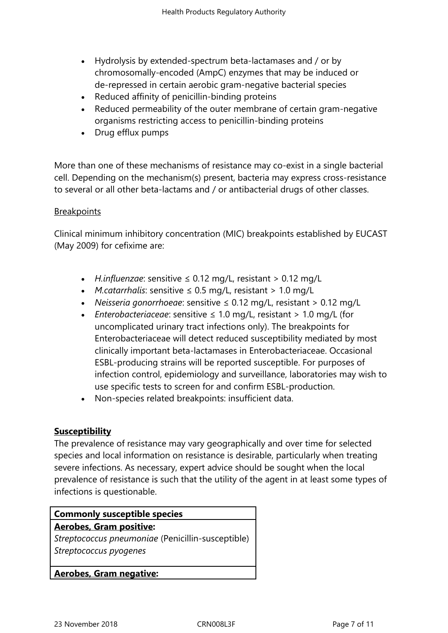- Hydrolysis by extended-spectrum beta-lactamases and / or by chromosomally-encoded (AmpC) enzymes that may be induced or de-repressed in certain aerobic gram-negative bacterial species
- Reduced affinity of penicillin-binding proteins
- Reduced permeability of the outer membrane of certain gram-negative organisms restricting access to penicillin-binding proteins
- Drug efflux pumps

More than one of these mechanisms of resistance may co-exist in a single bacterial cell. Depending on the mechanism(s) present, bacteria may express cross-resistance to several or all other beta-lactams and / or antibacterial drugs of other classes.

#### **Breakpoints**

Clinical minimum inhibitory concentration (MIC) breakpoints established by EUCAST (May 2009) for cefixime are:

- *H.influenzae*: sensitive ≤ 0.12 mg/L, resistant > 0.12 mg/L
- *M.catarrhalis*: sensitive ≤ 0.5 mg/L, resistant > 1.0 mg/L
- *Neisseria gonorrhoeae*: sensitive ≤ 0.12 mg/L, resistant > 0.12 mg/L
- *Enterobacteriaceae*: sensitive ≤ 1.0 mg/L, resistant > 1.0 mg/L (for uncomplicated urinary tract infections only). The breakpoints for Enterobacteriaceae will detect reduced susceptibility mediated by most clinically important beta-lactamases in Enterobacteriaceae. Occasional ESBL-producing strains will be reported susceptible. For purposes of infection control, epidemiology and surveillance, laboratories may wish to use specific tests to screen for and confirm ESBL-production.
- Non-species related breakpoints: insufficient data.

# **Susceptibility**

The prevalence of resistance may vary geographically and over time for selected species and local information on resistance is desirable, particularly when treating severe infections. As necessary, expert advice should be sought when the local prevalence of resistance is such that the utility of the agent in at least some types of infections is questionable.

| <b>Commonly susceptible species</b>               |  |  |
|---------------------------------------------------|--|--|
| <b>Aerobes, Gram positive:</b>                    |  |  |
| Streptococcus pneumoniae (Penicillin-susceptible) |  |  |
| Streptococcus pyogenes                            |  |  |
|                                                   |  |  |
| <b>Aerobes, Gram negative:</b>                    |  |  |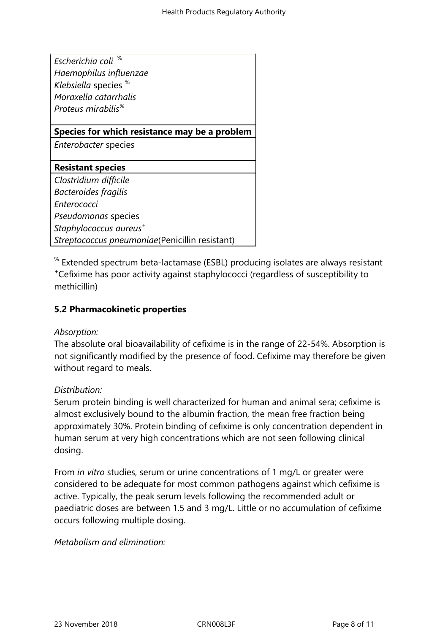| Escherichia coli <sup>%</sup><br>Haemophilus influenzae<br>Klebsiella species %<br>Moraxella catarrhalis<br>Proteus mirabilis <sup>%</sup> |  |  |
|--------------------------------------------------------------------------------------------------------------------------------------------|--|--|
| Species for which resistance may be a problem                                                                                              |  |  |
| Enterobacter species                                                                                                                       |  |  |
| <b>Resistant species</b>                                                                                                                   |  |  |
| Clostridium difficile                                                                                                                      |  |  |
| Bacteroides fragilis                                                                                                                       |  |  |
| Enterococci                                                                                                                                |  |  |
| Pseudomonas species                                                                                                                        |  |  |
| Staphylococcus aureus <sup>+</sup>                                                                                                         |  |  |
| Streptococcus pneumoniae(Penicillin resistant)                                                                                             |  |  |

 $\mathrm{^{\%}}$  Extended spectrum beta-lactamase (ESBL) producing isolates are always resistant **<sup>+</sup>**Cefixime has poor activity against staphylococci (regardless of susceptibility to methicillin)

# **5.2 Pharmacokinetic properties**

#### *Absorption:*

The absolute oral bioavailability of cefixime is in the range of 22-54%. Absorption is not significantly modified by the presence of food. Cefixime may therefore be given without regard to meals.

#### *Distribution:*

Serum protein binding is well characterized for human and animal sera; cefixime is almost exclusively bound to the albumin fraction, the mean free fraction being approximately 30%. Protein binding of cefixime is only concentration dependent in human serum at very high concentrations which are not seen following clinical dosing.

From *in vitro* studies, serum or urine concentrations of 1 mg/L or greater were considered to be adequate for most common pathogens against which cefixime is active. Typically, the peak serum levels following the recommended adult or paediatric doses are between 1.5 and 3 mg/L. Little or no accumulation of cefixime occurs following multiple dosing.

#### *Metabolism and elimination:*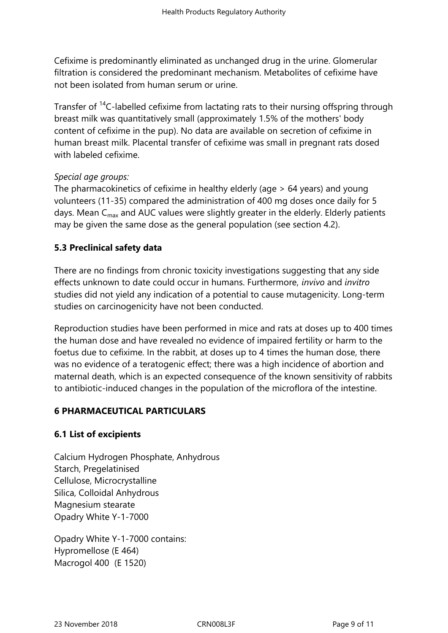Cefixime is predominantly eliminated as unchanged drug in the urine. Glomerular filtration is considered the predominant mechanism. Metabolites of cefixime have not been isolated from human serum or urine.

Transfer of <sup>14</sup>C-labelled cefixime from lactating rats to their nursing offspring through breast milk was quantitatively small (approximately 1.5% of the mothers' body content of cefixime in the pup). No data are available on secretion of cefixime in human breast milk. Placental transfer of cefixime was small in pregnant rats dosed with labeled cefixime.

#### *Special age groups:*

The pharmacokinetics of cefixime in healthy elderly (age > 64 years) and young volunteers (11-35) compared the administration of 400 mg doses once daily for 5 days. Mean  $C_{\text{max}}$  and AUC values were slightly greater in the elderly. Elderly patients may be given the same dose as the general population (see section 4.2).

# **5.3 Preclinical safety data**

There are no findings from chronic toxicity investigations suggesting that any side effects unknown to date could occur in humans. Furthermore, *invivo* and *invitro* studies did not yield any indication of a potential to cause mutagenicity. Long-term studies on carcinogenicity have not been conducted.

Reproduction studies have been performed in mice and rats at doses up to 400 times the human dose and have revealed no evidence of impaired fertility or harm to the foetus due to cefixime. In the rabbit, at doses up to 4 times the human dose, there was no evidence of a teratogenic effect; there was a high incidence of abortion and maternal death, which is an expected consequence of the known sensitivity of rabbits to antibiotic-induced changes in the population of the microflora of the intestine.

# **6 PHARMACEUTICAL PARTICULARS**

# **6.1 List of excipients**

Calcium Hydrogen Phosphate, Anhydrous Starch, Pregelatinised Cellulose, Microcrystalline Silica, Colloidal Anhydrous Magnesium stearate Opadry White Y-1-7000

Opadry White Y-1-7000 contains: Hypromellose (E 464) Macrogol 400 (E 1520)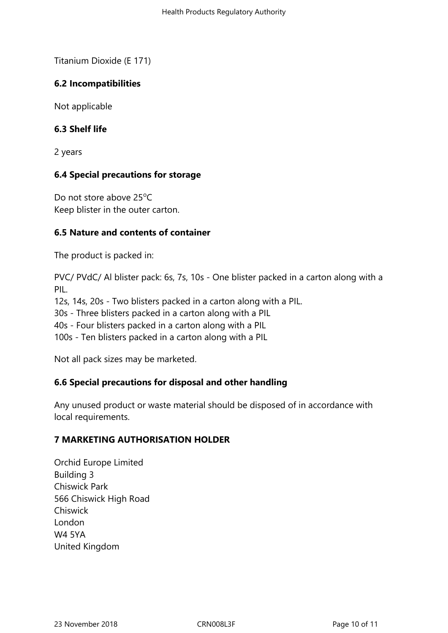Titanium Dioxide (E 171)

# **6.2 Incompatibilities**

Not applicable

# **6.3 Shelf life**

2 years

# **6.4 Special precautions for storage**

Do not store above  $25^{\circ}$ C Keep blister in the outer carton.

# **6.5 Nature and contents of container**

The product is packed in:

PVC/ PVdC/ Al blister pack: 6s, 7s, 10s - One blister packed in a carton along with a PIL. 12s, 14s, 20s - Two blisters packed in a carton along with a PIL. 30s - Three blisters packed in a carton along with a PIL 40s - Four blisters packed in a carton along with a PIL 100s - Ten blisters packed in a carton along with a PIL

Not all pack sizes may be marketed.

# **6.6 Special precautions for disposal and other handling**

Any unused product or waste material should be disposed of in accordance with local requirements.

# **7 MARKETING AUTHORISATION HOLDER**

Orchid Europe Limited Building 3 Chiswick Park 566 Chiswick High Road **Chiswick** London W4 5YA United Kingdom